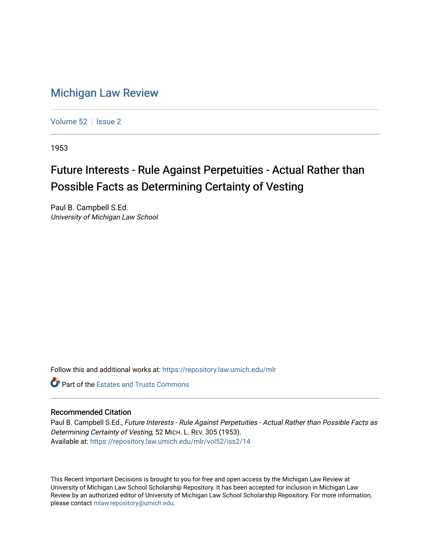## [Michigan Law Review](https://repository.law.umich.edu/mlr)

[Volume 52](https://repository.law.umich.edu/mlr/vol52) | [Issue 2](https://repository.law.umich.edu/mlr/vol52/iss2)

1953

## Future Interests - Rule Against Perpetuities - Actual Rather than Possible Facts as Determining Certainty of Vesting

Paul B. Campbell S.Ed. University of Michigan Law School

Follow this and additional works at: [https://repository.law.umich.edu/mlr](https://repository.law.umich.edu/mlr?utm_source=repository.law.umich.edu%2Fmlr%2Fvol52%2Fiss2%2F14&utm_medium=PDF&utm_campaign=PDFCoverPages) 

**C** Part of the Estates and Trusts Commons

## Recommended Citation

Paul B. Campbell S.Ed., Future Interests - Rule Against Perpetuities - Actual Rather than Possible Facts as Determining Certainty of Vesting, 52 MICH. L. REV. 305 (1953). Available at: [https://repository.law.umich.edu/mlr/vol52/iss2/14](https://repository.law.umich.edu/mlr/vol52/iss2/14?utm_source=repository.law.umich.edu%2Fmlr%2Fvol52%2Fiss2%2F14&utm_medium=PDF&utm_campaign=PDFCoverPages) 

This Recent Important Decisions is brought to you for free and open access by the Michigan Law Review at University of Michigan Law School Scholarship Repository. It has been accepted for inclusion in Michigan Law Review by an authorized editor of University of Michigan Law School Scholarship Repository. For more information, please contact [mlaw.repository@umich.edu.](mailto:mlaw.repository@umich.edu)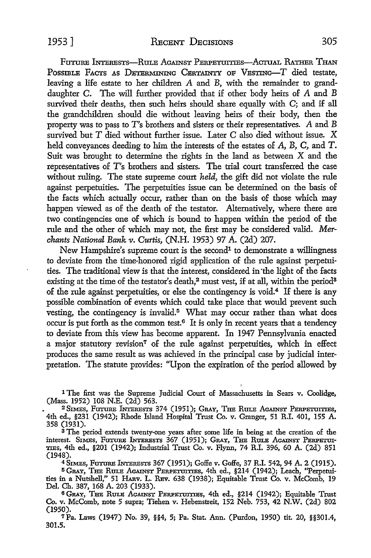FUTURE INTERESTS-RULE AGAINST PERPETUITIES-ACTUAL RATHER THAN POSSIBLE FACTS AS DETERMINING CERTAINTY OF VESTING-T died testate, leaving a life estate to her children A and B, with the remainder to granddaughter C. The will further provided that if other body heirs of A and B survived their deaths, then such heirs should share equally with C; and if all the grandchildren should die without leaving heirs of their body, then the property was to pass to T's brothers and sisters or their representatives. A and B survived but  $T$  died without further issue. Later  $C$  also died without issue.  $X$ held conveyances deeding to him the interests of the estates of A, B, C, and T. Suit was brought to determine the rights in the land as between X and the representatives of T's brothers and sisters. The trial court transferred the case without ruling. The state supreme court *held,* the gift did not violate the rule against perpetuities. The perpetuities issue can be determined on the basis of the facts which actually occur, rather than on the basis of those which may happen viewed as of the death of the testator. Alternatively, where there are two contingencies one of which is bound to happen within the period of the rule and the other of which may not, the first may be considered valid. *Merchants National Bank v. Curtis, (N.H. 1953) 97 A. (2d) 207.* 

New Hampshire's supreme court is the second<sup>1</sup> to demonstrate a willingness to deviate from the time-honored rigid application of the rule against perpetuities. The traditional view is that the interest, considered in ·the light of the facts existing at the time of the testator's death,<sup>2</sup> must vest, if at all, within the period<sup>3</sup> of the rule against perpetuities, or else the contingency is void.4 If there is any possible combination of events which could take place that would prevent such vesting, the contingency is invalid.<sup>5</sup> What may occur rather than what does occur is put forth as the common test. $6$  It is only in recent years that a tendency to deviate from this view has become apparent. In 1947 Pennsylvania enacted a major statutory revision<sup>7</sup> of the rule against perpetuities, which in effect produces the same result as was achieved in the principal case by judicial interpretation. The statute provides: "Upon the expiration of the period allowed by

1 The first was the Supreme Judicial Court of Massachusetts in Sears v. Coolidge, (Mass. 1952) 108 N.E. (2d) 563.

<sup>2</sup>SIMES, FUTURE lNTERESTs 374 (1951); GRAY, THE RuLE AGAINST PERPETUITIES, 4th ed., §231 (1942); Rhode Island Hospital Trust Co. v. Granger, 51 R.I. 401, 155 A. 358 (1931).

s The period extends twenty-one years after some life in being at the creation of the interest. SIMES, FUTURE lNTEREsTs 367 (1951); GRAY, THE RULE AGAINST PERPETUI-TIES, 4th ed., §201 (1942); Industrial Trust Co. v. Flynn, 74 R.I. 396, 60 A. (2d) 851 (1948).

<sup>4</sup>SIMEs, FUTURE lNTEREsTs 367 (1951); Goffe v. Goffe, 37 R.I. 542, 94 A. 2 (1915).

5 GRAY, THE RULE AGAINST PERPETUITIES, 4th ed., §214 (1942); Leach, "Perpetuities in a Nutshell," 51 HARV. L. REV. 638 (1938); Equitable Trust Co. v. McComb, 19 Del. Ch. 387, 168 A. 203 (1933).

6 GRAY, THE RULE AGAINST PERPETUITIES, 4th ed., §214 (1942); Equitable Trust Co. v. McComb, note 5 supra; Tiehen v. Hebenstreit, 152 Neb. 753, 42 N.W. (2d) 802 (1950).

7Pa. Laws (1947) No. 39, §§4, 5; Pa. Stat. Ann. (Purdon, 1950) tit. 20, §§301.4, 301.5.